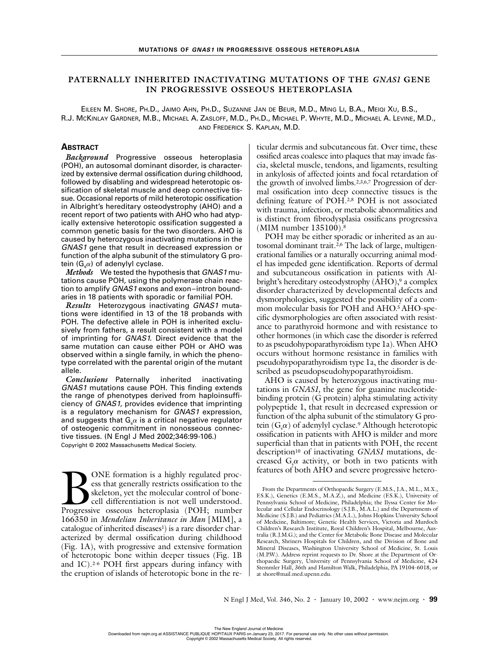# **PATERNALLY INHERITED INACTIVATING MUTATIONS OF THE** *GNAS1* **GENE IN PROGRESSIVE OSSEOUS HETEROPLASIA**

EILEEN M. SHORE, PH.D., JAIMO AHN, PH.D., SUZANNE JAN DE BEUR, M.D., MING LI, B.A., MEIQI XU, B.S., R.J. MCKINLAY GARDNER, M.B., MICHAEL A. ZASLOFF, M.D., PH.D., MICHAEL P. WHYTE, M.D., MICHAEL A. LEVINE, M.D., AND FREDERICK S. KAPLAN, M.D.

# **ABSTRACT**

*Background* Progressive osseous heteroplasia (POH), an autosomal dominant disorder, is characterized by extensive dermal ossification during childhood, followed by disabling and widespread heterotopic ossification of skeletal muscle and deep connective tissue. Occasional reports of mild heterotopic ossification in Albright's hereditary osteodystrophy (AHO) and a recent report of two patients with AHO who had atypically extensive heterotopic ossification suggested a common genetic basis for the two disorders. AHO is caused by heterozygous inactivating mutations in the GNAS1 gene that result in decreased expression or function of the alpha subunit of the stimulatory G protein  $(G<sub>s</sub> \alpha)$  of adenylyl cyclase.

*Methods* We tested the hypothesis that GNAS1 mutations cause POH, using the polymerase chain reaction to amplify GNAS1 exons and exon–intron boundaries in 18 patients with sporadic or familial POH.

*Results* Heterozygous inactivating GNAS1 mutations were identified in 13 of the 18 probands with POH. The defective allele in POH is inherited exclusively from fathers, a result consistent with a model of imprinting for GNAS1. Direct evidence that the same mutation can cause either POH or AHO was observed within a single family, in which the phenotype correlated with the parental origin of the mutant allele.

*Conclusions* Paternally inherited inactivating GNAS1 mutations cause POH. This finding extends the range of phenotypes derived from haploinsufficiency of GNAS1, provides evidence that imprinting is a regulatory mechanism for GNAS1 expression, and suggests that  $G_{s} \alpha$  is a critical negative regulator of osteogenic commitment in nonosseous connective tissues. (N Engl J Med 2002;346:99-106.) Copyright © 2002 Massachusetts Medical Society.

ONE formation is a highly regulated process that generally restricts ossification to the skeleton, yet the molecular control of bonecell differentiation is not well understood. **Progress that generally resulated process that generally restricts ossification to the skeleton, yet the molecular control of bone-cell differentiation is not well understood. Progressive osseous heteroplasia (POH; number** 166350 in *Mendelian Inheritance in Man* [MIM], a catalogue of inherited diseases<sup>1</sup>) is a rare disorder characterized by dermal ossification during childhood (Fig. 1A), with progressive and extensive formation of heterotopic bone within deeper tissues (Fig. 1B and 1C).2-6 POH first appears during infancy with the eruption of islands of heterotopic bone in the reticular dermis and subcutaneous fat. Over time, these ossified areas coalesce into plaques that may invade fascia, skeletal muscle, tendons, and ligaments, resulting in ankylosis of affected joints and focal retardation of the growth of involved limbs.2,3,6,7 Progression of dermal ossification into deep connective tissues is the defining feature of POH.2,8 POH is not associated with trauma, infection, or metabolic abnormalities and is distinct from fibrodysplasia ossificans progressiva (MIM number 135100).8

POH may be either sporadic or inherited as an autosomal dominant trait.<sup>2,6</sup> The lack of large, multigenerational families or a naturally occurring animal model has impeded gene identification. Reports of dermal and subcutaneous ossification in patients with Albright's hereditary osteodystrophy  $(AHO)$ ,<sup>9</sup> a complex disorder characterized by developmental defects and dysmorphologies, suggested the possibility of a common molecular basis for POH and AHO.5 AHO-specific dysmorphologies are often associated with resistance to parathyroid hormone and with resistance to other hormones (in which case the disorder is referred to as pseudohypoparathyroidism type 1a). When AHO occurs without hormone resistance in families with pseudohypoparathyroidism type 1a, the disorder is described as pseudopseudohypoparathyroidism.

AHO is caused by heterozygous inactivating mutations in *GNAS1,* the gene for guanine nucleotidebinding protein (G protein) alpha stimulating activity polypeptide 1, that result in decreased expression or function of the alpha subunit of the stimulatory G protein  $(G_s \alpha)$  of adenylyl cyclase.<sup>9</sup> Although heterotopic ossification in patients with AHO is milder and more superficial than that in patients with POH, the recent description<sup>10</sup> of inactivating *GNAS1* mutations, decreased  $G_s \alpha$  activity, or both in two patients with features of both AHO and severe progressive hetero-

From the Departments of Orthopaedic Surgery (E.M.S., J.A., M.L., M.X., F.S.K.), Genetics (E.M.S., M.A.Z.), and Medicine (F.S.K.), University of Pennsylvania School of Medicine, Philadelphia; the Ilyssa Center for Molecular and Cellular Endocrinology (S.J.B., M.A.L.) and the Departments of Medicine (S.J.B.) and Pediatrics (M.A.L.), Johns Hopkins University School of Medicine, Baltimore; Genetic Health Services, Victoria and Murdoch Children's Research Institute, Royal Children's Hospital, Melbourne, Australia (R.J.M.G.); and the Center for Metabolic Bone Disease and Molecular Research, Shriners Hospitals for Children, and the Division of Bone and Mineral Diseases, Washington University School of Medicine, St. Louis (M.P.W.). Address reprint requests to Dr. Shore at the Department of Orthopaedic Surgery, University of Pennsylvania School of Medicine, 424 Stemmler Hall, 36th and Hamilton Walk, Philadelphia, PA 19104-6018, or at shore@mail.med.upenn.edu.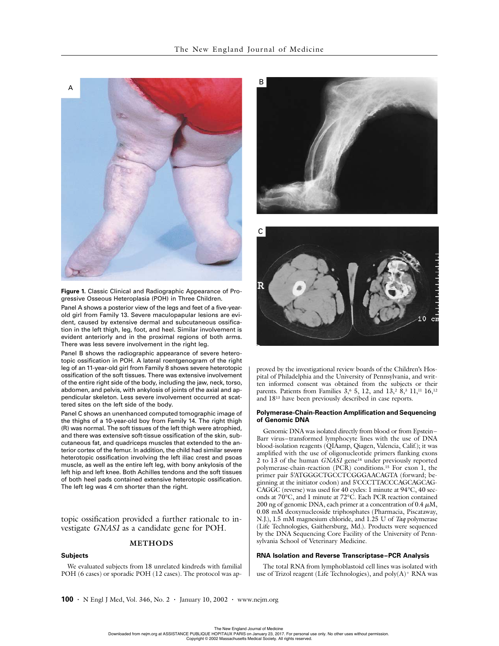

**Figure 1.** Classic Clinical and Radiographic Appearance of Progressive Osseous Heteroplasia (POH) in Three Children.

Panel A shows a posterior view of the legs and feet of a five-yearold girl from Family 13. Severe maculopapular lesions are evident, caused by extensive dermal and subcutaneous ossification in the left thigh, leg, foot, and heel. Similar involvement is evident anteriorly and in the proximal regions of both arms. There was less severe involvement in the right leg.

Panel B shows the radiographic appearance of severe heterotopic ossification in POH. A lateral roentgenogram of the right leg of an 11-year-old girl from Family 8 shows severe heterotopic ossification of the soft tissues. There was extensive involvement of the entire right side of the body, including the jaw, neck, torso, abdomen, and pelvis, with ankylosis of joints of the axial and appendicular skeleton. Less severe involvement occurred at scattered sites on the left side of the body.

Panel C shows an unenhanced computed tomographic image of the thighs of a 10-year-old boy from Family 14. The right thigh (R) was normal. The soft tissues of the left thigh were atrophied, and there was extensive soft-tissue ossification of the skin, subcutaneous fat, and quadriceps muscles that extended to the anterior cortex of the femur. In addition, the child had similar severe heterotopic ossification involving the left iliac crest and psoas muscle, as well as the entire left leg, with bony ankylosis of the left hip and left knee. Both Achilles tendons and the soft tissues of both heel pads contained extensive heterotopic ossification. The left leg was 4 cm shorter than the right.

topic ossification provided a further rationale to investigate *GNAS1* as a candidate gene for POH.

## **METHODS**

## **Subjects**

We evaluated subjects from 18 unrelated kindreds with familial POH (6 cases) or sporadic POH (12 cases). The protocol was ap-





proved by the investigational review boards of the Children's Hospital of Philadelphia and the University of Pennsylvania, and written informed consent was obtained from the subjects or their parents. Patients from Families  $3,6, 5, 12,$  and  $13,28,311,111,16,12$ and 1813 have been previously described in case reports.

#### **Polymerase-Chain-Reaction Amplification and Sequencing of Genomic DNA**

Genomic DNA was isolated directly from blood or from Epstein– Barr virus–transformed lymphocyte lines with the use of DNA blood-isolation reagents (QIAamp, Qiagen, Valencia, Calif.); it was amplified with the use of oligonucleotide primers flanking exons 2 to 13 of the human *GNAS1* gene14 under previously reported polymerase-chain-reaction (PCR) conditions.15 For exon 1, the primer pair 5'ATGGGCTGCCTCGGGAACAGTA (forward; beginning at the initiator codon) and 5'CCCTTACCCAGCAGCAG-CAGGC (reverse) was used for 40 cycles: 1 minute at 94°C, 40 seconds at 70°C, and 1 minute at 72°C. Each PCR reaction contained 200 ng of genomic DNA, each primer at a concentration of  $0.4 \mu M$ , 0.08 mM deoxynucleoside triphosphates (Pharmacia, Piscataway, N.J.), 1.5 mM magnesium chloride, and 1.25 U of *Taq* polymerase (Life Technologies, Gaithersburg, Md.). Products were sequenced by the DNA Sequencing Core Facility of the University of Pennsylvania School of Veterinary Medicine.

## **RNA Isolation and Reverse Transcriptase–PCR Analysis**

The total RNA from lymphoblastoid cell lines was isolated with use of Trizol reagent (Life Technologies), and poly(A)+ RNA was

**100 ·** N Engl J Med, Vol. 346, No. 2 **·** January 10, 2002 **·** www.nejm.org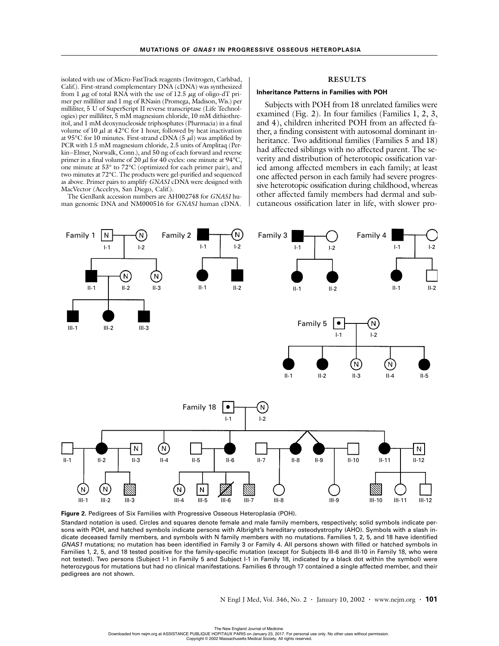isolated with use of Micro-FastTrack reagents (Invitrogen, Carlsbad, Calif.). First-strand complementary DNA (cDNA) was synthesized from 1  $\mu$ g of total RNA with the use of 12.5  $\mu$ g of oligo-dT primer per milliliter and 1 mg of RNasin (Promega, Madison, Wis.) per milliliter, 5 U of SuperScript II reverse transcriptase (Life Technologies) per milliliter, 5 mM magnesium chloride, 10 mM dithiothreitol, and 1 mM deoxynucleoside triphosphates (Pharmacia) in a final volume of 10  $\mu$ l at 42°C for 1 hour, followed by heat inactivation at 95 $\rm{^{\circ}C}$  for 10 minutes. First-strand cDNA (5  $\mu$ l) was amplified by PCR with 1.5 mM magnesium chloride, 2.5 units of Amplitaq (Perkin–Elmer, Norwalk, Conn.), and 50 ng of each forward and reverse primer in a final volume of 20  $\mu$ l for 40 cycles: one minute at 94°C, one minute at 53° to 72°C (optimized for each primer pair), and two minutes at 72°C. The products were gel-purified and sequenced as above. Primer pairs to amplify *GNAS1* cDNA were designed with MacVector (Accelrys, San Diego, Calif.).

The GenBank accession numbers are AH002748 for *GNAS1* human genomic DNA and NM000516 for *GNAS1* human cDNA.

## **RESULTS**

#### **Inheritance Patterns in Families with POH**

Subjects with POH from 18 unrelated families were examined (Fig. 2). In four families (Families 1, 2, 3, and 4), children inherited POH from an affected father, a finding consistent with autosomal dominant inheritance. Two additional families (Families 5 and 18) had affected siblings with no affected parent. The severity and distribution of heterotopic ossification varied among affected members in each family; at least one affected person in each family had severe progressive heterotopic ossification during childhood, whereas other affected family members had dermal and subcutaneous ossification later in life, with slower pro-





Standard notation is used. Circles and squares denote female and male family members, respectively; solid symbols indicate persons with POH, and hatched symbols indicate persons with Albright's hereditary osteodystrophy (AHO). Symbols with a slash indicate deceased family members, and symbols with N family members with no mutations. Families 1, 2, 5, and 18 have identified GNAS1 mutations; no mutation has been identified in Family 3 or Family 4. All persons shown with filled or hatched symbols in Families 1, 2, 5, and 18 tested positive for the family-specific mutation (except for Subjects III-6 and III-10 in Family 18, who were not tested). Two persons (Subject I-1 in Family 5 and Subject I-1 in Family 18, indicated by a black dot within the symbol) were heterozygous for mutations but had no clinical manifestations. Families 6 through 17 contained a single affected member, and their pedigrees are not shown.

N Engl J Med, Vol. 346, No. 2 **·** January 10, 2002 **·** www.nejm.org **· 101**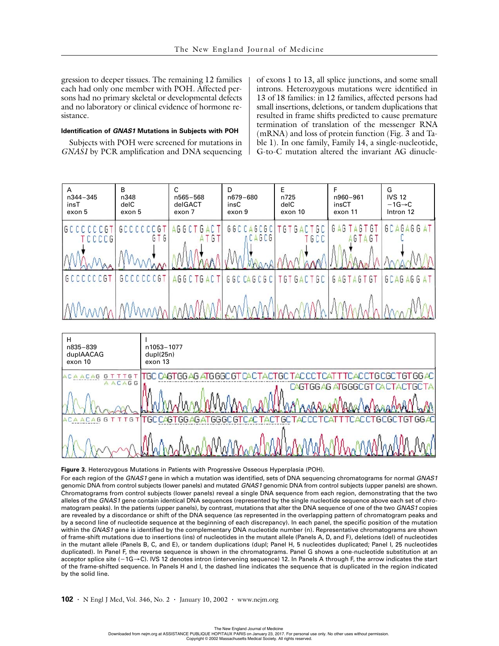gression to deeper tissues. The remaining 12 families each had only one member with POH. Affected persons had no primary skeletal or developmental defects and no laboratory or clinical evidence of hormone resistance.

#### **Identification of GNAS1 Mutations in Subjects with POH**

Subjects with POH were screened for mutations in *GNAS1* by PCR amplification and DNA sequencing of exons 1 to 13, all splice junctions, and some small introns. Heterozygous mutations were identified in 13 of 18 families: in 12 families, affected persons had small insertions, deletions, or tandem duplications that resulted in frame shifts predicted to cause premature termination of translation of the messenger RNA (mRNA) and loss of protein function (Fig. 3 and Table 1). In one family, Family 14, a single-nucleotide, G-to-C mutation altered the invariant AG dinucle-





### **Figure 3.** Heterozygous Mutations in Patients with Progressive Osseous Hyperplasia (POH).

For each region of the GNAS1 gene in which a mutation was identified, sets of DNA sequencing chromatograms for normal GNAS1 genomic DNA from control subjects (lower panels) and mutated GNAS1 genomic DNA from control subjects (upper panels) are shown. Chromatograms from control subjects (lower panels) reveal a single DNA sequence from each region, demonstrating that the two alleles of the GNAS1 gene contain identical DNA sequences (represented by the single nucleotide sequence above each set of chromatogram peaks). In the patients (upper panels), by contrast, mutations that alter the DNA sequence of one of the two GNAS1 copies are revealed by a discordance or shift of the DNA sequence (as represented in the overlapping pattern of chromatogram peaks and by a second line of nucleotide sequence at the beginning of each discrepancy). In each panel, the specific position of the mutation within the GNAS1 gene is identified by the complementary DNA nucleotide number (n). Representative chromatograms are shown of frame-shift mutations due to insertions (ins) of nucleotides in the mutant allele (Panels A, D, and F), deletions (del) of nucleotides in the mutant allele (Panels B, C, and E), or tandem duplications (dupl; Panel H, 5 nucleotides duplicated; Panel I, 25 nucleotides duplicated). In Panel F, the reverse sequence is shown in the chromatograms. Panel G shows a one-nucleotide substitution at an acceptor splice site (-1G→C). IVS 12 denotes intron (intervening sequence) 12. In Panels A through F, the arrow indicates the start of the frame-shifted sequence. In Panels H and I, the dashed line indicates the sequence that is duplicated in the region indicated by the solid line.

**102 ·** N Engl J Med, Vol. 346, No. 2 **·** January 10, 2002 **·** www.nejm.org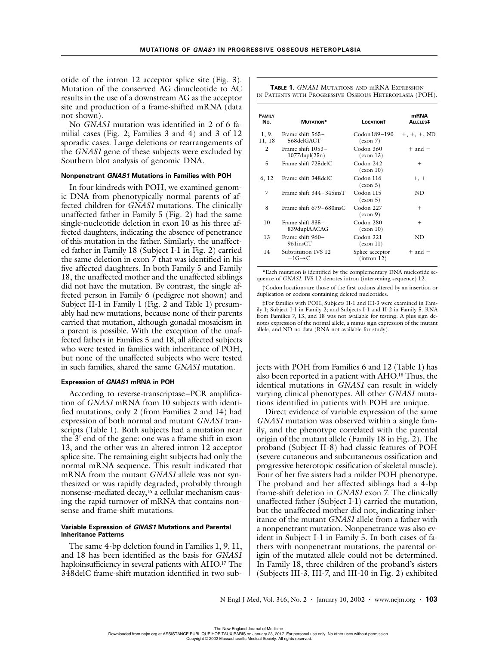otide of the intron 12 acceptor splice site (Fig. 3). Mutation of the conserved AG dinucleotide to AC results in the use of a downstream AG as the acceptor site and production of a frame-shifted mRNA (data not shown).

No *GNAS1* mutation was identified in 2 of 6 familial cases (Fig. 2; Families 3 and 4) and 3 of 12 sporadic cases. Large deletions or rearrangements of the *GNAS1* gene of these subjects were excluded by Southern blot analysis of genomic DNA.

## **Nonpenetrant GNAS1 Mutations in Families with POH**

In four kindreds with POH, we examined genomic DNA from phenotypically normal parents of affected children for *GNAS1* mutations. The clinically unaffected father in Family 5 (Fig. 2) had the same single-nucleotide deletion in exon 10 as his three affected daughters, indicating the absence of penetrance of this mutation in the father. Similarly, the unaffected father in Family 18 (Subject I-1 in Fig. 2) carried the same deletion in exon 7 that was identified in his five affected daughters. In both Family 5 and Family 18, the unaffected mother and the unaffected siblings did not have the mutation. By contrast, the single affected person in Family 6 (pedigree not shown) and Subject II-1 in Family 1 (Fig. 2 and Table 1) presumably had new mutations, because none of their parents carried that mutation, although gonadal mosaicism in a parent is possible. With the exception of the unaffected fathers in Families 5 and 18, all affected subjects who were tested in families with inheritance of POH, but none of the unaffected subjects who were tested in such families, shared the same *GNAS1* mutation.

## **Expression of GNAS1 mRNA in POH**

According to reverse-transcriptase–PCR amplification of *GNAS1* mRNA from 10 subjects with identified mutations, only 2 (from Families 2 and 14) had expression of both normal and mutant *GNAS1* transcripts (Table 1). Both subjects had a mutation near the 3' end of the gene: one was a frame shift in exon 13, and the other was an altered intron 12 acceptor splice site. The remaining eight subjects had only the normal mRNA sequence. This result indicated that mRNA from the mutant *GNAS1* allele was not synthesized or was rapidly degraded, probably through nonsense-mediated decay,<sup>16</sup> a cellular mechanism causing the rapid turnover of mRNA that contains nonsense and frame-shift mutations.

## **Variable Expression of GNAS1 Mutations and Parental Inheritance Patterns**

The same 4-bp deletion found in Families 1, 9, 11, and 18 has been identified as the basis for *GNAS1* haploinsufficiency in several patients with AHO.<sup>17</sup> The 348delC frame-shift mutation identified in two sub-

**TABLE 1.** *GNAS1* MUTATIONS AND mRNA EXPRESSION IN PATIENTS WITH PROGRESSIVE OSSEOUS HETEROPLASIA (POH).

| <b>FAMILY</b><br>No. | MUTATION*                                  | <b>LOCATION</b> <sup>†</sup>        | mRNA<br>ALLELES <sup>‡</sup> |
|----------------------|--------------------------------------------|-------------------------------------|------------------------------|
| 1, 9,<br>11, 18      | Frame shift 565–<br>568delGACT             | Codon 189-190<br>$(\text{exon } 7)$ | $+, +, +$ , ND               |
| 2                    | Frame shift 1053-<br>$1077$ dupl $(25n)$   | Codon 360<br>(exon 13)              | $+$ and $-$                  |
| 5                    | Frame shift 725delC                        | Codon 242<br>$(\text{exon } 10)$    | $^{+}$                       |
| 6, 12                | Frame shift 348delC                        | Codon 116<br>(exon 5)               | $+, +$                       |
| 7                    | Frame shift 344-345insT                    | Codon 115<br>(exon 5)               | ND.                          |
| 8                    | Frame shift $679-680$ insC                 | Codon 227<br>$(\text{exon } 9)$     | $^{+}$                       |
| 10                   | Frame shift 835–<br>839duplAACAG           | Codon 280<br>$(\text{exon } 10)$    | $^{+}$                       |
| 13                   | Frame shift 960-<br>961insCT               | Codon 321<br>(exon 11)              | ND.                          |
| 14                   | Substitution IVS 12<br>$-1G \rightarrow C$ | Splice acceptor<br>(intron 12)      | $+$ and $-$                  |

\*Each mutation is identified by the complementary DNA nucleotide sequence of *GNAS1*. IVS 12 denotes intron (intervening sequence) 12.

†Codon locations are those of the first codons altered by an insertion or duplication or codons containing deleted nucleotides.

‡For families with POH, Subjects II-1 and III-3 were examined in Family 1; Subject I-1 in Family 2; and Subjects I-1 and II-2 in Family 5. RNA from Families 7, 13, and 18 was not available for testing. A plus sign denotes expression of the normal allele, a minus sign expression of the mutant allele, and ND no data (RNA not available for study).

jects with POH from Families 6 and 12 (Table 1) has also been reported in a patient with AHO.18 Thus, the identical mutations in *GNAS1* can result in widely varying clinical phenotypes. All other *GNAS1* mutations identified in patients with POH are unique.

Direct evidence of variable expression of the same *GNAS1* mutation was observed within a single family, and the phenotype correlated with the parental origin of the mutant allele (Family 18 in Fig. 2). The proband (Subject II-8) had classic features of POH (severe cutaneous and subcutaneous ossification and progressive heterotopic ossification of skeletal muscle). Four of her five sisters had a milder POH phenotype. The proband and her affected siblings had a 4-bp frame-shift deletion in *GNAS1* exon 7. The clinically unaffected father (Subject I-1) carried the mutation, but the unaffected mother did not, indicating inheritance of the mutant *GNAS1* allele from a father with a nonpenetrant mutation. Nonpenetrance was also evident in Subject I-1 in Family 5. In both cases of fathers with nonpenetrant mutations, the parental origin of the mutated allele could not be determined. In Family 18, three children of the proband's sisters (Subjects III-3, III-7, and III-10 in Fig. 2) exhibited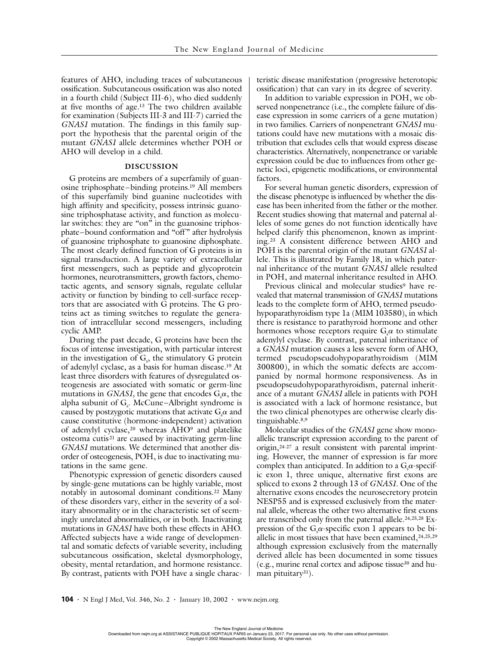features of AHO, including traces of subcutaneous ossification. Subcutaneous ossification was also noted in a fourth child (Subject III-6), who died suddenly at five months of age.13 The two children available for examination (Subjects III-3 and III-7) carried the *GNAS1* mutation. The findings in this family support the hypothesis that the parental origin of the mutant *GNAS1* allele determines whether POH or AHO will develop in a child.

#### **DISCUSSION**

G proteins are members of a superfamily of guanosine triphosphate–binding proteins.19 All members of this superfamily bind guanine nucleotides with high affinity and specificity, possess intrinsic guanosine triphosphatase activity, and function as molecular switches: they are "on" in the guanosine triphosphate–bound conformation and "off" after hydrolysis of guanosine triphosphate to guanosine diphosphate. The most clearly defined function of G proteins is in signal transduction. A large variety of extracellular first messengers, such as peptide and glycoprotein hormones, neurotransmitters, growth factors, chemotactic agents, and sensory signals, regulate cellular activity or function by binding to cell-surface receptors that are associated with G proteins. The G proteins act as timing switches to regulate the generation of intracellular second messengers, including cyclic AMP.

During the past decade, G proteins have been the focus of intense investigation, with particular interest in the investigation of  $G_s$ , the stimulatory G protein of adenylyl cyclase, as a basis for human disease.19 At least three disorders with features of dysregulated osteogenesis are associated with somatic or germ-line mutations in *GNAS1*, the gene that encodes  $G_s \alpha$ , the alpha subunit of  $G_s$ . McCune–Albright syndrome is caused by postzygotic mutations that activate  $\mathrm{G}_{\mathrm{s}}\alpha$  and cause constitutive (hormone-independent) activation of adenylyl cyclase,20 whereas AHO9 and platelike osteoma cutis<sup>21</sup> are caused by inactivating germ-line *GNAS1* mutations. We determined that another disorder of osteogenesis, POH, is due to inactivating mutations in the same gene.

Phenotypic expression of genetic disorders caused by single-gene mutations can be highly variable, most notably in autosomal dominant conditions.22 Many of these disorders vary, either in the severity of a solitary abnormality or in the characteristic set of seemingly unrelated abnormalities, or in both. Inactivating mutations in *GNAS1* have both these effects in AHO. Affected subjects have a wide range of developmental and somatic defects of variable severity, including subcutaneous ossification, skeletal dysmorphology, obesity, mental retardation, and hormone resistance. By contrast, patients with POH have a single characteristic disease manifestation (progressive heterotopic ossification) that can vary in its degree of severity.

In addition to variable expression in POH, we observed nonpenetrance (i.e., the complete failure of disease expression in some carriers of a gene mutation) in two families. Carriers of nonpenetrant *GNAS1* mutations could have new mutations with a mosaic distribution that excludes cells that would express disease characteristics. Alternatively, nonpenetrance or variable expression could be due to influences from other genetic loci, epigenetic modifications, or environmental factors.

For several human genetic disorders, expression of the disease phenotype is influenced by whether the disease has been inherited from the father or the mother. Recent studies showing that maternal and paternal alleles of some genes do not function identically have helped clarify this phenomenon, known as imprinting.23 A consistent difference between AHO and POH is the parental origin of the mutant *GNAS1* allele. This is illustrated by Family 18, in which paternal inheritance of the mutant *GNAS1* allele resulted in POH, and maternal inheritance resulted in AHO.

Previous clinical and molecular studies<sup>9</sup> have revealed that maternal transmission of *GNAS1* mutations leads to the complete form of AHO, termed pseudohypoparathyroidism type 1a (MIM 103580), in which there is resistance to parathyroid hormone and other hormones whose receptors require  $G_s \alpha$  to stimulate adenylyl cyclase. By contrast, paternal inheritance of a *GNAS1* mutation causes a less severe form of AHO, termed pseudopseudohypoparathyroidism (MIM 300800), in which the somatic defects are accompanied by normal hormone responsiveness. As in pseudopseudohypoparathyroidism, paternal inheritance of a mutant *GNAS1* allele in patients with POH is associated with a lack of hormone resistance, but the two clinical phenotypes are otherwise clearly distinguishable.8,9

Molecular studies of the *GNAS1* gene show monoallelic transcript expression according to the parent of origin,24-27 a result consistent with parental imprinting. However, the manner of expression is far more complex than anticipated. In addition to a  $G_s \alpha$ -specific exon 1, three unique, alternative first exons are spliced to exons 2 through 13 of *GNAS1.* One of the alternative exons encodes the neurosecretory protein NESP55 and is expressed exclusively from the maternal allele, whereas the other two alternative first exons are transcribed only from the paternal allele.<sup>24,25,28</sup> Expression of the  $G_s \alpha$ -specific exon 1 appears to be biallelic in most tissues that have been examined,  $24,25,29$ although expression exclusively from the maternally derived allele has been documented in some tissues (e.g., murine renal cortex and adipose tissue30 and human pituitary<sup>31</sup>).

**104 ·** N Engl J Med, Vol. 346, No. 2 **·** January 10, 2002 **·** www.nejm.org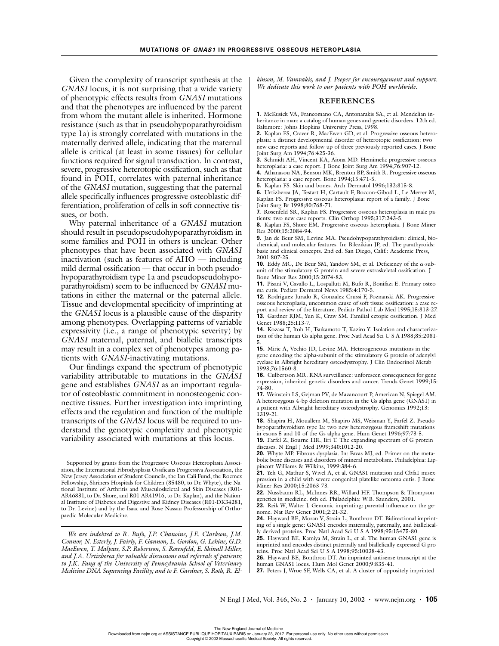Given the complexity of transcript synthesis at the *GNAS1* locus, it is not surprising that a wide variety of phenotypic effects results from *GNAS1* mutations and that the phenotypes are influenced by the parent from whom the mutant allele is inherited. Hormone resistance (such as that in pseudohypoparathyroidism type 1a) is strongly correlated with mutations in the maternally derived allele, indicating that the maternal allele is critical (at least in some tissues) for cellular functions required for signal transduction. In contrast, severe, progressive heterotopic ossification, such as that found in POH, correlates with paternal inheritance of the *GNAS1* mutation, suggesting that the paternal allele specifically influences progressive osteoblastic differentiation, proliferation of cells in soft connective tissues, or both.

Why paternal inheritance of a *GNAS1* mutation should result in pseudopseudohypoparathyroidism in some families and POH in others is unclear. Other phenotypes that have been associated with *GNAS1* inactivation (such as features of AHO — including mild dermal ossification — that occur in both pseudohypoparathyroidism type 1a and pseudopseudohypoparathyroidism) seem to be influenced by *GNAS1* mutations in either the maternal or the paternal allele. Tissue and developmental specificity of imprinting at the *GNAS1* locus is a plausible cause of the disparity among phenotypes. Overlapping patterns of variable expressivity (i.e., a range of phenotypic severity) by *GNAS1* maternal, paternal, and biallelic transcripts may result in a complex set of phenotypes among patients with *GNAS1*-inactivating mutations.

Our findings expand the spectrum of phenotypic variability attributable to mutations in the *GNAS1* gene and establishes *GNAS1* as an important regulator of osteoblastic commitment in nonosteogenic connective tissues. Further investigation into imprinting effects and the regulation and function of the multiple transcripts of the *GNAS1* locus will be required to understand the genotypic complexity and phenotypic variability associated with mutations at this locus.

Supported by grants from the Progressive Osseous Heteroplasia Association, the International Fibrodysplasia Ossificans Progressiva Association, the New Jersey Association of Student Councils, the Ian Cali Fund, the Roemex Fellowship, Shriners Hospitals for Children (85480, to Dr. Whyte), the National Institute of Arthritis and Musculoskeletal and Skin Diseases (R01- AR46831, to Dr. Shore, and R01-AR41916, to Dr. Kaplan), and the National Institute of Diabetes and Digestive and Kidney Diseases (R01-DK34281, to Dr. Levine) and by the Isaac and Rose Nassau Professorship of Orthopaedic Molecular Medicine.

*We are indebted to R. Bufo, J.P. Chanoine, J.E. Clarkson, J.M. Connor, N. Esterly, J. Fairly, F. Gannon, L. Gordon, G. Lehine, G.D. MacEwen, T. Malpass, S.P. Robertson, S. Rosenfeld, E. Shinall Miller, and J.A. Urtizberea for valuable discussions and referrals of patients; to J.K. Fang of the University of Pennsylvania School of Veterinary Medicine DNA Sequencing Facility; and to F. Gardner, S. Roth, R. El-* *kinson, M. Vamvakis, and J. Peeper for encouragement and support. We dedicate this work to our patients with POH worldwide.*

## **REFERENCES**

**1.** McKusick VA, Francomano CA, Antonarakis SA, et al. Mendelian inheritance in man: a catalog of human genes and genetic disorders. 12th ed. Baltimore: Johns Hopkins University Press, 1998.

**2.** Kaplan FS, Craver R, MacEwen GD, et al. Progressive osseous heteroplasia: a distinct developmental disorder of heterotopic ossification: two new case reports and follow-up of three previously reported cases. J Bone Joint Surg Am 1994;76:425-36.

**3.** Schmidt AH, Vincent KA, Aiona MD. Hemimelic progressive osseous heteroplasia: a case report. J Bone Joint Surg Am 1994;76:907-12. **4.** Athanasou NA, Benson MK, Brenton BP, Smith R. Progressive osseous heteroplasia: a case report. Bone 1994;15:471-5.

**5.** Kaplan FS. Skin and bones. Arch Dermatol 1996;132:815-8.

**6.** Urtizberea JA, Testart H, Cartault F, Boccon-Gibod L, Le Merrer M, Kaplan FS. Progressive osseous heteroplasia: report of a family. J Bone Joint Surg Br 1998;80:768-71.

**7.** Rosenfeld SR, Kaplan FS. Progressive osseous heteroplasia in male patients: two new case reports. Clin Orthop 1995;317:243-5.

**8.** Kaplan FS, Shore EM. Progressive osseous heteroplasia. J Bone Miner Res 2000;15:2084-94.

**9.** Jan de Beur SM, Levine MA. Pseudohypoparathyroidism: clinical, biochemical, and molecular features. In: Bilezikian JP, ed. The parathyroids: basic and clinical concepts. 2nd ed. San Diego, Calif.: Academic Press, 2001:807-25.

**10.** Eddy MC, De Beur SM, Yandow SM, et al. Deficiency of the  $\alpha$ -subunit of the stimulatory G protein and severe extraskeletal ossification. J Bone Miner Res 2000;15:2074-83.

**11.** Pisani V, Cavallo L, Lospalluti M, Bufo R, Bonifazi E. Primary osteoma cutis. Pediatr Dermatol News 1985;4:170-5.

**12.** Rodriguez-Jurado R, Gonzalez-Crussi F, Poznanski AK. Progressive osseous heteroplasia, uncommon cause of soft tissue ossification: a case report and review of the literature. Pediatr Pathol Lab Med 1995;15:813-27. **13.** Gardner RJM, Yun K, Craw SM. Familial ectopic ossification. J Med Genet 1988;25:113-7.

**14.** Kozasa T, Itoh H, Tsukamoto T, Kaziro Y. Isolation and characterization of the human Gs alpha gene. Proc Natl Acad Sci U S A 1988;85:2081-

5. **15.** Miric A, Vechio JD, Levine MA. Heterogeneous mutations in the gene encoding the alpha-subunit of the stimulatory G protein of adenylyl cyclase in Albright hereditary osteodystrophy. J Clin Endocrinol Metab 1993;76:1560-8.

**16.** Culbertson MR. RNA surveillance: unforeseen consequences for gene expression, inherited genetic disorders and cancer. Trends Genet 1999;15: 74-80.

**17.** Weinstein LS, Gejman PV, de Mazancourt P, American N, Spiegel AM. A heterozygous 4-bp deletion mutation in the Gs alpha gene (GNAS1) in a patient with Albright hereditary osteodystrophy. Genomics 1992;13: 1319-21.

**18.** Shapira H, Mouallem M, Shapiro MS, Weisman Y, Farfel Z. Pseudohypoparathyroidism type Ia: two new heterozygous frameshift mutations in exons 5 and 10 of the Gs alpha gene. Hum Genet 1996;97:73-5.

**19.** Farfel Z, Bourne HR, Iiri T. The expanding spectrum of G protein diseases. N Engl J Med 1999;340:1012-20.

**20.** Whyte MP. Fibrous dysplasia. In: Favas MJ, ed. Primer on the metabolic bone diseases and disorders of mineral metabolism. Philadelphia: Lippincott Williams & Wilkins, 1999:384-6. **21.** Yeh G, Mathur S, Wivel A, et al. GNAS1 mutation and Cbfa1 misex-

pression in a child with severe congenital platelike osteoma cutis. J Bone Miner Res 2000;15:2063-73.

**22.** Nussbaum RL, McInnes RR, Willard HF. Thompson & Thompson genetics in medicine. 6th ed. Philadelphia: W.B. Saunders, 2001.

**23.** Reik W, Walter J. Genomic imprinting: parental influence on the genome. Nat Rev Genet 2001;2:21-32.

**24.** Hayward BE, Moran V, Strain L, Bonthron DT. Bidirectional imprinting of a single gene: GNAS1 encodes maternally, paternally, and biallelically derived proteins. Proc Natl Acad Sci U S A 1998;95:15475-80.

**25.** Hayward BE, Kamiya M, Strain L, et al. The human GNAS1 gene is imprinted and encodes distinct paternally and biallelically expressed G proteins. Proc Natl Acad Sci U S A 1998;95:10038-43.

**26.** Hayward BE, Bonthron DT. An imprinted antisense transcript at the human GNAS1 locus. Hum Mol Genet 2000;9:835-41.

**27.** Peters J, Wroe SF, Wells CA, et al. A cluster of oppositely imprinted